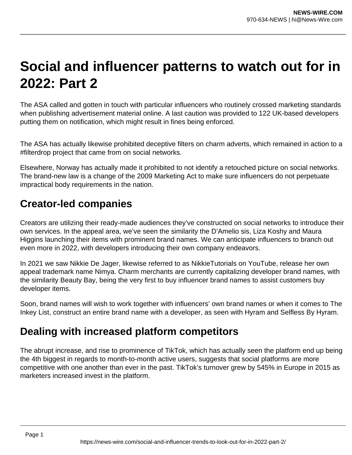# **Social and influencer patterns to watch out for in 2022: Part 2**

The ASA called and gotten in touch with particular influencers who routinely crossed marketing standards when publishing advertisement material online. A last caution was provided to 122 UK-based developers putting them on notification, which might result in fines being enforced.

The ASA has actually likewise prohibited deceptive filters on charm adverts, which remained in action to a #filterdrop project that came from on social networks.

Elsewhere, Norway has actually made it prohibited to not identify a retouched picture on social networks. The brand-new law is a change of the 2009 Marketing Act to make sure influencers do not perpetuate impractical body requirements in the nation.

#### **Creator-led companies**

Creators are utilizing their ready-made audiences they've constructed on social networks to introduce their own services. In the appeal area, we've seen the similarity the D'Amelio sis, Liza Koshy and Maura Higgins launching their items with prominent brand names. We can anticipate influencers to branch out even more in 2022, with developers introducing their own company endeavors.

In 2021 we saw Nikkie De Jager, likewise referred to as NikkieTutorials on YouTube, release her own appeal trademark name Nimya. Charm merchants are currently capitalizing developer brand names, with the similarity Beauty Bay, being the very first to buy influencer brand names to assist customers buy developer items.

Soon, brand names will wish to work together with influencers' own brand names or when it comes to The Inkey List, construct an entire brand name with a developer, as seen with Hyram and Selfless By Hyram.

### **Dealing with increased platform competitors**

The abrupt increase, and rise to prominence of TikTok, which has actually seen the platform end up being the 4th biggest in regards to month-to-month active users, suggests that social platforms are more competitive with one another than ever in the past. TikTok's turnover grew by 545% in Europe in 2015 as marketers increased invest in the platform.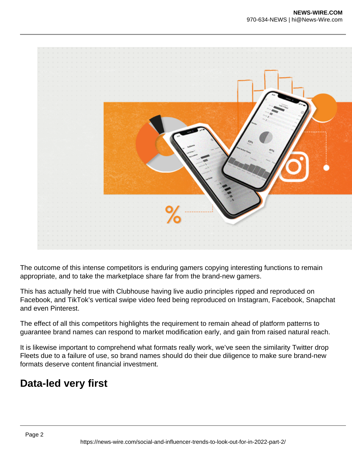

The outcome of this intense competitors is enduring gamers copying interesting functions to remain appropriate, and to take the marketplace share far from the brand-new gamers.

This has actually held true with Clubhouse having live audio principles ripped and reproduced on Facebook, and TikTok's vertical swipe video feed being reproduced on Instagram, Facebook, Snapchat and even Pinterest.

The effect of all this competitors highlights the requirement to remain ahead of platform patterns to guarantee brand names can respond to market modification early, and gain from raised natural reach.

It is likewise important to comprehend what formats really work, we've seen the similarity Twitter drop Fleets due to a failure of use, so brand names should do their due diligence to make sure brand-new formats deserve content financial investment.

### **Data-led very first**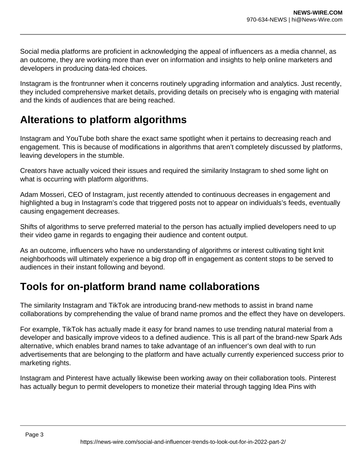Social media platforms are proficient in acknowledging the appeal of influencers as a media channel, as an outcome, they are working more than ever on information and insights to help online marketers and developers in producing data-led choices.

Instagram is the frontrunner when it concerns routinely upgrading information and analytics. Just recently, they included comprehensive market details, providing details on precisely who is engaging with material and the kinds of audiences that are being reached.

## **Alterations to platform algorithms**

Instagram and YouTube both share the exact same spotlight when it pertains to decreasing reach and engagement. This is because of modifications in algorithms that aren't completely discussed by platforms, leaving developers in the stumble.

Creators have actually voiced their issues and required the similarity Instagram to shed some light on what is occurring with platform algorithms.

Adam Mosseri, CEO of Instagram, just recently attended to continuous decreases in engagement and highlighted a bug in Instagram's code that triggered posts not to appear on individuals's feeds, eventually causing engagement decreases.

Shifts of algorithms to serve preferred material to the person has actually implied developers need to up their video game in regards to engaging their audience and content output.

As an outcome, influencers who have no understanding of algorithms or interest cultivating tight knit neighborhoods will ultimately experience a big drop off in engagement as content stops to be served to audiences in their instant following and beyond.

## **Tools for on-platform brand name collaborations**

The similarity Instagram and TikTok are introducing brand-new methods to assist in brand name collaborations by comprehending the value of brand name promos and the effect they have on developers.

For example, TikTok has actually made it easy for brand names to use trending natural material from a developer and basically improve videos to a defined audience. This is all part of the brand-new Spark Ads alternative, which enables brand names to take advantage of an influencer's own deal with to run advertisements that are belonging to the platform and have actually currently experienced success prior to marketing rights.

Instagram and Pinterest have actually likewise been working away on their collaboration tools. Pinterest has actually begun to permit developers to monetize their material through tagging Idea Pins with